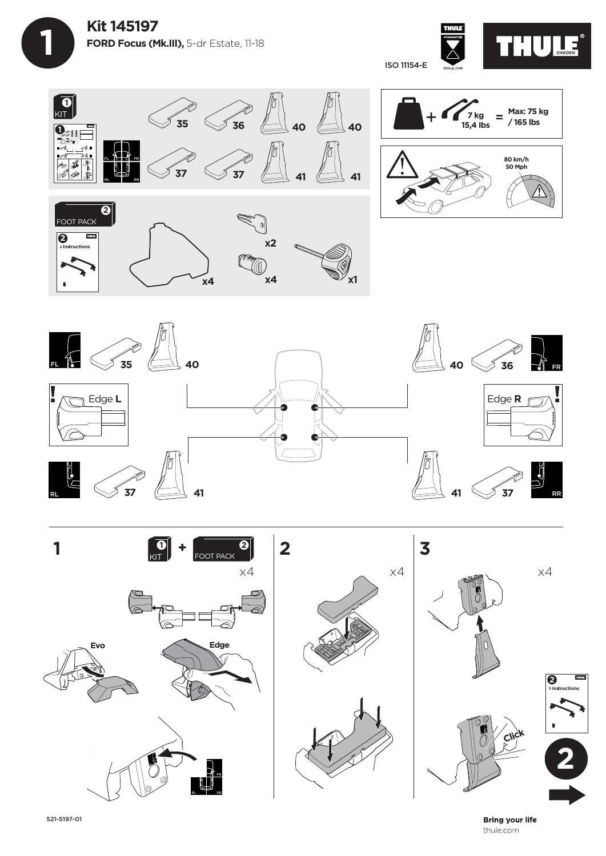















**Bring your life** thule.com